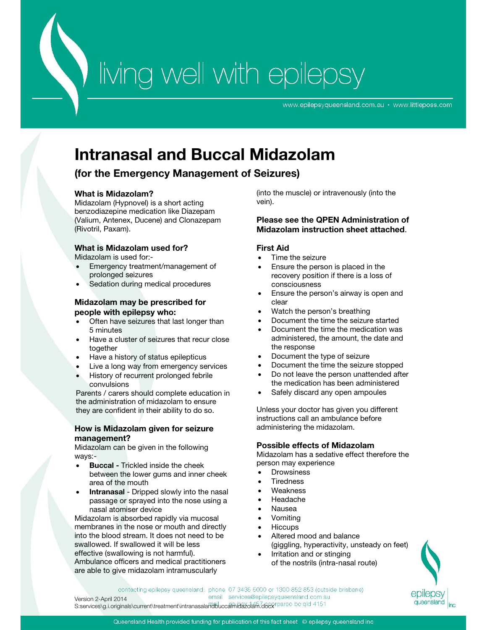# Wing well with epilepsy

www.epilepsyqueensland.com.au · www.littleposs.com

## **Intranasal and Buccal Midazolam**

### **(for the Emergency Management of Seizures)**

#### **What is Midazolam?**

Midazolam (Hypnovel) is a short acting benzodiazepine medication like Diazepam (Valium, Antenex, Ducene) and Clonazepam (Rivotril, Paxam).

#### **What is Midazolam used for?**

Midazolam is used for:-

- Emergency treatment/management of prolonged seizures
- Sedation during medical procedures

#### **Midazolam may be prescribed for people with epilepsy who:**

- Often have seizures that last longer than 5 minutes
- Have a cluster of seizures that recur close together
- Have a history of status epilepticus
- Live a long way from emergency services
- History of recurrent prolonged febrile convulsions

Parents / carers should complete education in the administration of midazolam to ensure they are confident in their ability to do so.

#### **How is Midazolam given for seizure management?**

Midazolam can be given in the following ways:-

- **Buccal** Trickled inside the cheek between the lower gums and inner cheek area of the mouth
- **Intranasal** Dripped slowly into the nasal passage or sprayed into the nose using a nasal atomiser device

Midazolam is absorbed rapidly via mucosal membranes in the nose or mouth and directly into the blood stream. It does not need to be swallowed. If swallowed it will be less effective (swallowing is not harmful). Ambulance officers and medical practitioners are able to give midazolam intramuscularly

(into the muscle) or intravenously (into the vein).

#### **Please see the QPEN Administration of Midazolam instruction sheet attached**.

#### **First Aid**

- Time the seizure
- Ensure the person is placed in the recovery position if there is a loss of consciousness
- Ensure the person's airway is open and clear
- Watch the person's breathing
- Document the time the seizure started
- Document the time the medication was administered, the amount, the date and the response
- Document the type of seizure
- Document the time the seizure stopped
- Do not leave the person unattended after the medication has been administered
- Safely discard any open ampoules

Unless your doctor has given you different instructions call an ambulance before administering the midazolam.

#### **Possible effects of Midazolam**

Midazolam has a sedative effect therefore the person may experience

- **Drowsiness**
- **Tiredness**
- Weakness
- Headache
- Nausea
- Vomiting
- **Hiccups**
- Altered mood and balance (giggling, hyperactivity, unsteady on feet)
- Irritation and or stinging of the nostrils (intra-nasal route)



contacting epilepsy queensland: phone 07 3435 5000 or 1300 852 853 (outside brisbane) email services@epilepsyqueensland.com.au Version 2-April 2014 S:services\g.i.originals\current\treatment\intranasalahdbuccalmidazolam.docxrparoo bc qld 4151